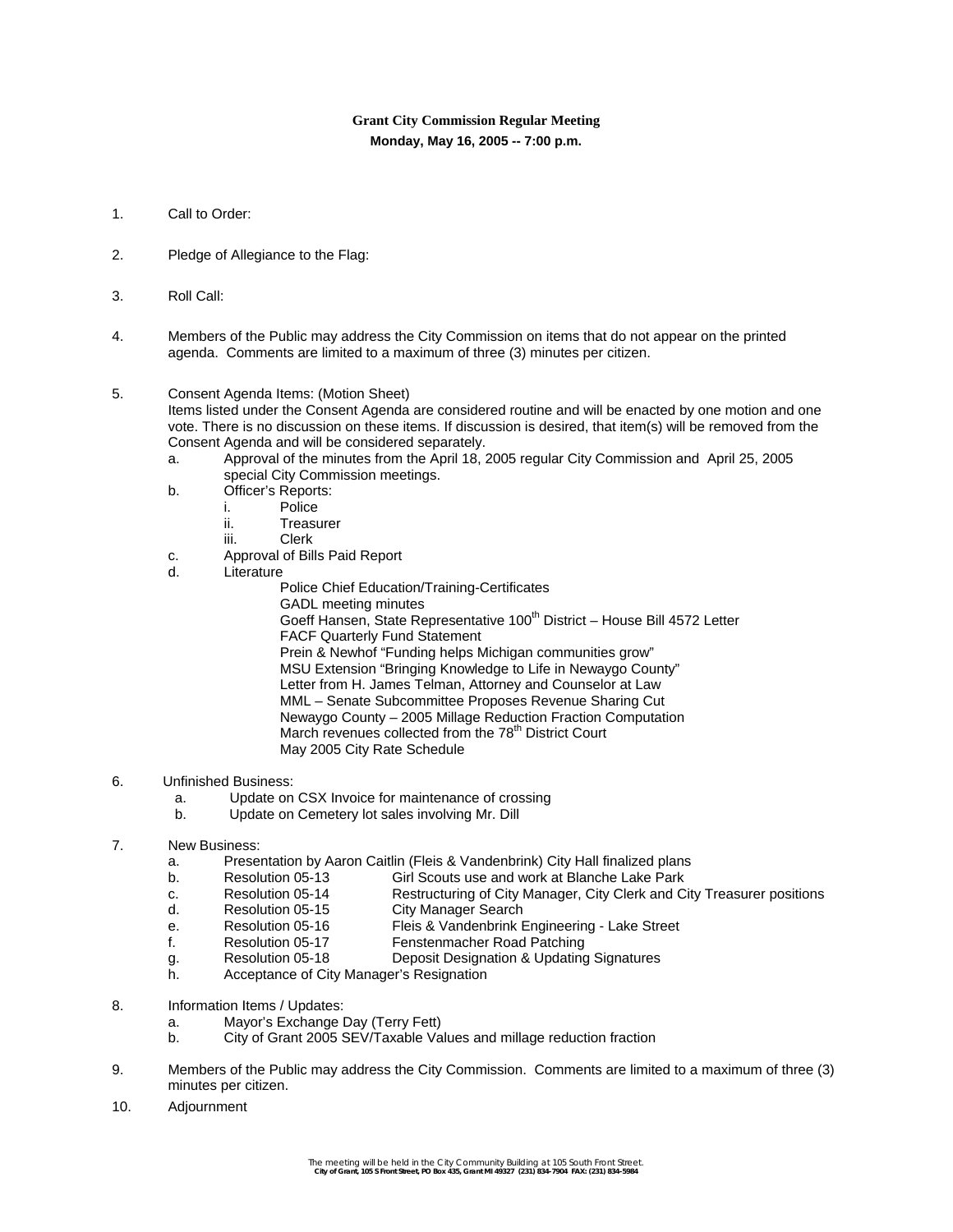# **Grant City Commission Regular Meeting Monday, May 16, 2005 -- 7:00 p.m.**

- 1. Call to Order:
- 2. Pledge of Allegiance to the Flag:
- 3. Roll Call:
- 4. Members of the Public may address the City Commission on items that do not appear on the printed agenda. Comments are limited to a maximum of three (3) minutes per citizen.

# 5. Consent Agenda Items: (Motion Sheet)

Items listed under the Consent Agenda are considered routine and will be enacted by one motion and one vote. There is no discussion on these items. If discussion is desired, that item(s) will be removed from the Consent Agenda and will be considered separately.

- a. Approval of the minutes from the April 18, 2005 regular City Commission and April 25, 2005 special City Commission meetings.
- b. Officer's Reports:
	- i. Police
		- ii. Treasurer
		- iii. Clerk
- c. Approval of Bills Paid Report
- d. Literature
	- Police Chief Education/Training-Certificates GADL meeting minutes Goeff Hansen, State Representative 100<sup>th</sup> District – House Bill 4572 Letter FACF Quarterly Fund Statement Prein & Newhof "Funding helps Michigan communities grow" MSU Extension "Bringing Knowledge to Life in Newaygo County" Letter from H. James Telman, Attorney and Counselor at Law MML – Senate Subcommittee Proposes Revenue Sharing Cut Newaygo County – 2005 Millage Reduction Fraction Computation March revenues collected from the 78<sup>th</sup> District Court May 2005 City Rate Schedule

# 6. Unfinished Business:

- a. Update on CSX Invoice for maintenance of crossing
- b. Update on Cemetery lot sales involving Mr. Dill

# 7. New Business:

- a. Presentation by Aaron Caitlin (Fleis & Vandenbrink) City Hall finalized plans
- b. Resolution 05-13 Girl Scouts use and work at Blanche Lake Park<br>C. Resolution 05-14 Restructuring of City Manager City Clerk and C
- c. Resolution 05-14 Restructuring of City Manager, City Clerk and City Treasurer positions
- d. Resolution 05-15 City Manager Search<br>
e. Resolution 05-16 Fleis & Vandenbrink E
- e. Resolution 05-16 Fleis & Vandenbrink Engineering Lake Street<br>f. Resolution 05-17 Fenstenmacher Road Patching
- f. Resolution 05-17 Fenstenmacher Road Patching
- g. Resolution 05-18 Deposit Designation & Updating Signatures
- h. Acceptance of City Manager's Resignation
- 8. Information Items / Updates:
	- a. Mayor's Exchange Day (Terry Fett)
	- b. City of Grant 2005 SEV/Taxable Values and millage reduction fraction
- 9. Members of the Public may address the City Commission. Comments are limited to a maximum of three (3) minutes per citizen.
- 10. Adjournment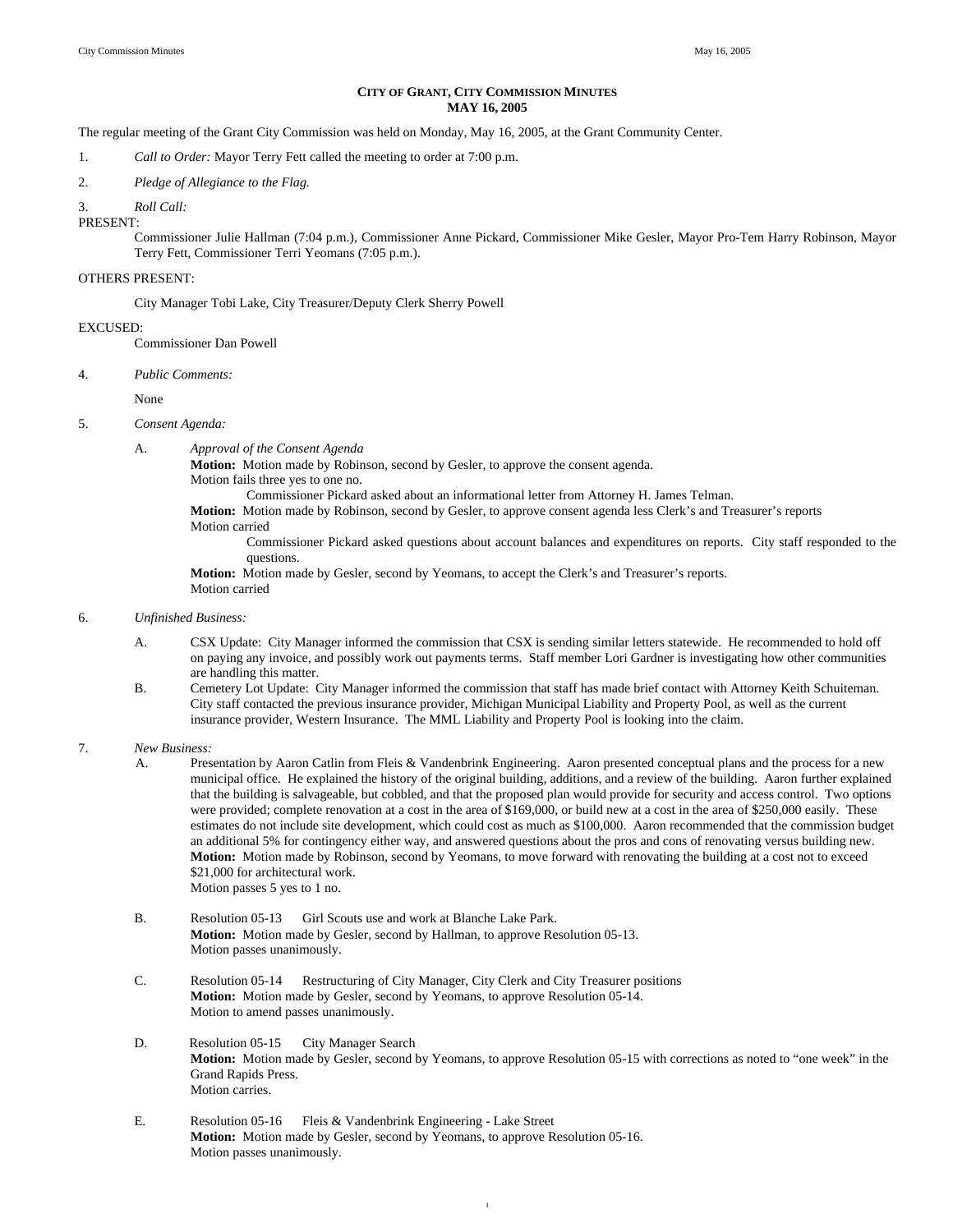# **CITY OF GRANT, CITY COMMISSION MINUTES MAY 16, 2005**

The regular meeting of the Grant City Commission was held on Monday, May 16, 2005, at the Grant Community Center.

1. *Call to Order:* Mayor Terry Fett called the meeting to order at 7:00 p.m.

2. *Pledge of Allegiance to the Flag.*

3. *Roll Call:* 

PRESENT:

Commissioner Julie Hallman (7:04 p.m.), Commissioner Anne Pickard, Commissioner Mike Gesler, Mayor Pro-Tem Harry Robinson, Mayor Terry Fett, Commissioner Terri Yeomans (7:05 p.m.).

#### OTHERS PRESENT:

City Manager Tobi Lake, City Treasurer/Deputy Clerk Sherry Powell

#### EXCUSED:

Commissioner Dan Powell

4. *Public Comments:* 

None

## 5. *Consent Agenda:*

A. *Approval of the Consent Agenda* 

**Motion:** Motion made by Robinson, second by Gesler, to approve the consent agenda. Motion fails three yes to one no.

Commissioner Pickard asked about an informational letter from Attorney H. James Telman.

 **Motion:** Motion made by Robinson, second by Gesler, to approve consent agenda less Clerk's and Treasurer's reports Motion carried

Commissioner Pickard asked questions about account balances and expenditures on reports. City staff responded to the questions.

**Motion:** Motion made by Gesler, second by Yeomans, to accept the Clerk's and Treasurer's reports. Motion carried

### 6. *Unfinished Business:*

- A. CSX Update: City Manager informed the commission that CSX is sending similar letters statewide. He recommended to hold off on paying any invoice, and possibly work out payments terms. Staff member Lori Gardner is investigating how other communities are handling this matter.
- B. Cemetery Lot Update: City Manager informed the commission that staff has made brief contact with Attorney Keith Schuiteman. City staff contacted the previous insurance provider, Michigan Municipal Liability and Property Pool, as well as the current insurance provider, Western Insurance. The MML Liability and Property Pool is looking into the claim.

## 7. *New Business:*

- A. Presentation by Aaron Catlin from Fleis & Vandenbrink Engineering. Aaron presented conceptual plans and the process for a new municipal office. He explained the history of the original building, additions, and a review of the building. Aaron further explained that the building is salvageable, but cobbled, and that the proposed plan would provide for security and access control. Two options were provided; complete renovation at a cost in the area of \$169,000, or build new at a cost in the area of \$250,000 easily. These estimates do not include site development, which could cost as much as \$100,000. Aaron recommended that the commission budget an additional 5% for contingency either way, and answered questions about the pros and cons of renovating versus building new. **Motion:** Motion made by Robinson, second by Yeomans, to move forward with renovating the building at a cost not to exceed \$21,000 for architectural work. Motion passes 5 yes to 1 no.
- B. Resolution 05-13 Girl Scouts use and work at Blanche Lake Park. **Motion:** Motion made by Gesler, second by Hallman, to approve Resolution 05-13. Motion passes unanimously.
- C. Resolution 05-14 Restructuring of City Manager, City Clerk and City Treasurer positions **Motion:** Motion made by Gesler, second by Yeomans, to approve Resolution 05-14. Motion to amend passes unanimously.
- D. Resolution 05-15 City Manager Search **Motion:** Motion made by Gesler, second by Yeomans, to approve Resolution 05-15 with corrections as noted to "one week" in the Grand Rapids Press. Motion carries.

1

E. Resolution 05-16 Fleis & Vandenbrink Engineering - Lake Street  **Motion:** Motion made by Gesler, second by Yeomans, to approve Resolution 05-16. Motion passes unanimously.